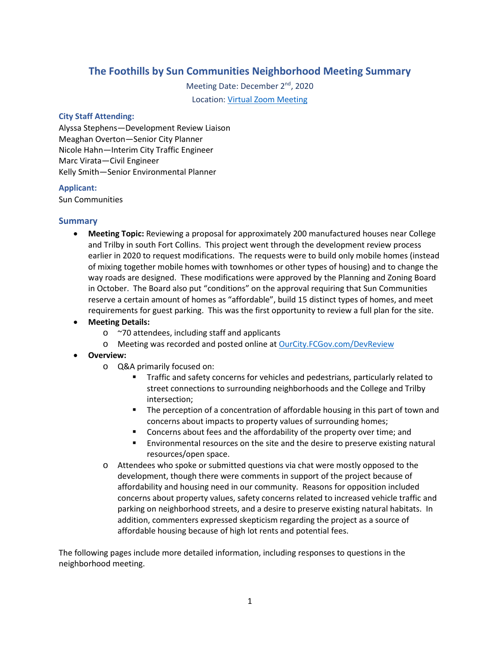# **The Foothills by Sun Communities Neighborhood Meeting Summary**

Meeting Date: December 2<sup>nd</sup>, 2020 Location: [Virtual Zoom Meeting](https://youtu.be/C8GVOZPTw1A)

#### **City Staff Attending:**

Alyssa Stephens—Development Review Liaison Meaghan Overton—Senior City Planner Nicole Hahn—Interim City Traffic Engineer Marc Virata—Civil Engineer Kelly Smith—Senior Environmental Planner

#### **Applicant:**

Sun Communities

#### **Summary**

- **Meeting Topic:** Reviewing a proposal for approximately 200 manufactured houses near College and Trilby in south Fort Collins. This project went through the development review process earlier in 2020 to request modifications. The requests were to build only mobile homes (instead of mixing together mobile homes with townhomes or other types of housing) and to change the way roads are designed. These modifications were approved by the Planning and Zoning Board in October. The Board also put "conditions" on the approval requiring that Sun Communities reserve a certain amount of homes as "affordable", build 15 distinct types of homes, and meet requirements for guest parking. This was the first opportunity to review a full plan for the site.
- **Meeting Details:**
	- o ~70 attendees, including staff and applicants
	- o Meeting was recorded and posted online at OurCity.FCGov.com/DevReview
- **Overview:** 
	- o Q&A primarily focused on:
		- **Traffic and safety concerns for vehicles and pedestrians, particularly related to** street connections to surrounding neighborhoods and the College and Trilby intersection;
		- The perception of a concentration of affordable housing in this part of town and concerns about impacts to property values of surrounding homes;
		- **EXECONCERNS** Concerns about fees and the affordability of the property over time; and
		- Environmental resources on the site and the desire to preserve existing natural resources/open space.
	- o Attendees who spoke or submitted questions via chat were mostly opposed to the development, though there were comments in support of the project because of affordability and housing need in our community. Reasons for opposition included concerns about property values, safety concerns related to increased vehicle traffic and parking on neighborhood streets, and a desire to preserve existing natural habitats. In addition, commenters expressed skepticism regarding the project as a source of affordable housing because of high lot rents and potential fees.

The following pages include more detailed information, including responses to questions in the neighborhood meeting.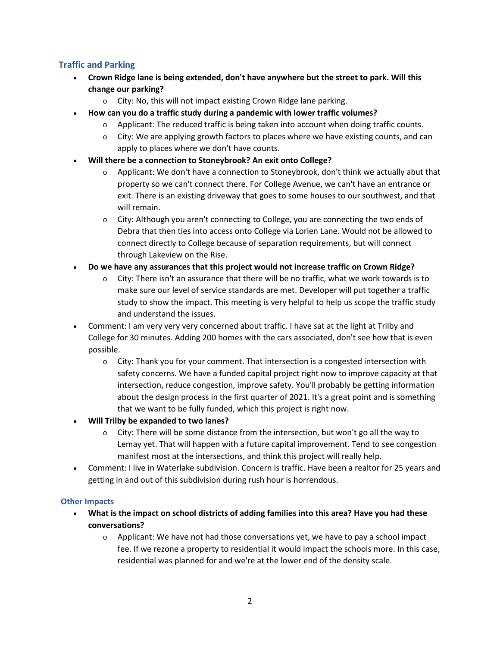## **Traffic and Parking**

- **Crown Ridge lane is being extended, don't have anywhere but the street to park. Will this change our parking?**
	- o City: No, this will not impact existing Crown Ridge lane parking.
- **How can you do a traffic study during a pandemic with lower traffic volumes?**
	- $\circ$  Applicant: The reduced traffic is being taken into account when doing traffic counts.
	- $\circ$  City: We are applying growth factors to places where we have existing counts, and can apply to places where we don't have counts.
- **Will there be a connection to Stoneybrook? An exit onto College?**
	- $\circ$  Applicant: We don't have a connection to Stoneybrook, don't think we actually abut that property so we can't connect there. For College Avenue, we can't have an entrance or exit. There is an existing driveway that goes to some houses to our southwest, and that will remain.
	- $\circ$  City: Although you aren't connecting to College, you are connecting the two ends of Debra that then ties into access onto College via Lorien Lane. Would not be allowed to connect directly to College because of separation requirements, but will connect through Lakeview on the Rise.
- **Do we have any assurances that this project would not increase traffic on Crown Ridge?**
	- $\circ$  City: There isn't an assurance that there will be no traffic, what we work towards is to make sure our level of service standards are met. Developer will put together a traffic study to show the impact. This meeting is very helpful to help us scope the traffic study and understand the issues.
- Comment: I am very very very concerned about traffic. I have sat at the light at Trilby and College for 30 minutes. Adding 200 homes with the cars associated, don't see how that is even possible.
	- $\circ$  City: Thank you for your comment. That intersection is a congested intersection with safety concerns. We have a funded capital project right now to improve capacity at that intersection, reduce congestion, improve safety. You'll probably be getting information about the design process in the first quarter of 2021. It's a great point and is something that we want to be fully funded, which this project is right now.
- **Will Trilby be expanded to two lanes?**
	- $\circ$  City: There will be some distance from the intersection, but won't go all the way to Lemay yet. That will happen with a future capital improvement. Tend to see congestion manifest most at the intersections, and think this project will really help.
- Comment: I live in Waterlake subdivision. Concern is traffic. Have been a realtor for 25 years and getting in and out of this subdivision during rush hour is horrendous.

#### **Other Impacts**

- **What is the impact on school districts of adding families into this area? Have you had these conversations?**
	- $\circ$  Applicant: We have not had those conversations yet, we have to pay a school impact fee. If we rezone a property to residential it would impact the schools more. In this case, residential was planned for and we're at the lower end of the density scale.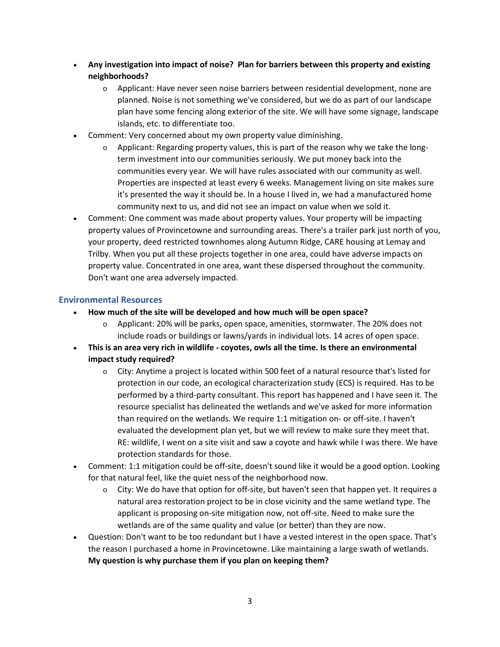- **Any investigation into impact of noise? Plan for barriers between this property and existing neighborhoods?**
	- $\circ$  Applicant: Have never seen noise barriers between residential development, none are planned. Noise is not something we've considered, but we do as part of our landscape plan have some fencing along exterior of the site. We will have some signage, landscape islands, etc. to differentiate too.
- Comment: Very concerned about my own property value diminishing.
	- $\circ$  Applicant: Regarding property values, this is part of the reason why we take the longterm investment into our communities seriously. We put money back into the communities every year. We will have rules associated with our community as well. Properties are inspected at least every 6 weeks. Management living on site makes sure it's presented the way it should be. In a house I lived in, we had a manufactured home community next to us, and did not see an impact on value when we sold it.
- Comment: One comment was made about property values. Your property will be impacting property values of Provincetowne and surrounding areas. There's a trailer park just north of you, your property, deed restricted townhomes along Autumn Ridge, CARE housing at Lemay and Trilby. When you put all these projects together in one area, could have adverse impacts on property value. Concentrated in one area, want these dispersed throughout the community. Don't want one area adversely impacted.

## **Environmental Resources**

- **How much of the site will be developed and how much will be open space?**
	- o Applicant: 20% will be parks, open space, amenities, stormwater. The 20% does not include roads or buildings or lawns/yards in individual lots. 14 acres of open space.
- **This is an area very rich in wildlife - coyotes, owls all the time. Is there an environmental impact study required?**
	- $\circ$  City: Anytime a project is located within 500 feet of a natural resource that's listed for protection in our code, an ecological characterization study (ECS) is required. Has to be performed by a third-party consultant. This report has happened and I have seen it. The resource specialist has delineated the wetlands and we've asked for more information than required on the wetlands. We require 1:1 mitigation on- or off-site. I haven't evaluated the development plan yet, but we will review to make sure they meet that. RE: wildlife, I went on a site visit and saw a coyote and hawk while I was there. We have protection standards for those.
- Comment: 1:1 mitigation could be off-site, doesn't sound like it would be a good option. Looking for that natural feel, like the quiet ness of the neighborhood now.
	- $\circ$  City: We do have that option for off-site, but haven't seen that happen yet. It requires a natural area restoration project to be in close vicinity and the same wetland type. The applicant is proposing on-site mitigation now, not off-site. Need to make sure the wetlands are of the same quality and value (or better) than they are now.
- Question: Don't want to be too redundant but I have a vested interest in the open space. That's the reason I purchased a home in Provincetowne. Like maintaining a large swath of wetlands. **My question is why purchase them if you plan on keeping them?**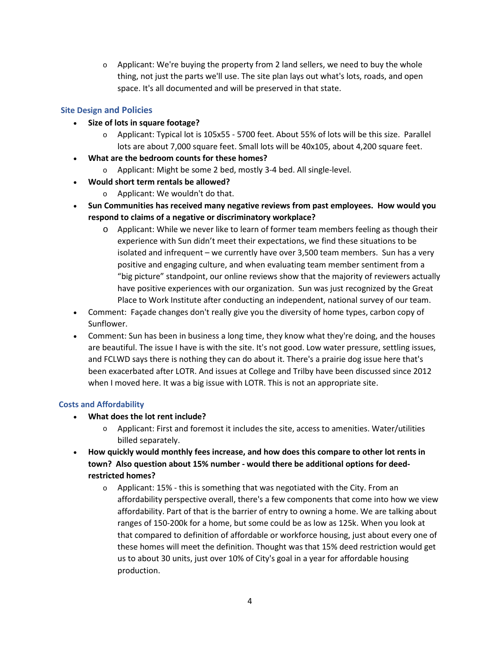$\circ$  Applicant: We're buying the property from 2 land sellers, we need to buy the whole thing, not just the parts we'll use. The site plan lays out what's lots, roads, and open space. It's all documented and will be preserved in that state.

# **Site Design and Policies**

- **Size of lots in square footage?**
	- o Applicant: Typical lot is 105x55 5700 feet. About 55% of lots will be this size. Parallel lots are about 7,000 square feet. Small lots will be 40x105, about 4,200 square feet.
- **What are the bedroom counts for these homes?**
	- o Applicant: Might be some 2 bed, mostly 3-4 bed. All single-level.
- **Would short term rentals be allowed?**
	- o Applicant: We wouldn't do that.
- **Sun Communities has received many negative reviews from past employees. How would you respond to claims of a negative or discriminatory workplace?**
	- o Applicant: While we never like to learn of former team members feeling as though their experience with Sun didn't meet their expectations, we find these situations to be isolated and infrequent – we currently have over 3,500 team members. Sun has a very positive and engaging culture, and when evaluating team member sentiment from a "big picture" standpoint, our online reviews show that the majority of reviewers actually have positive experiences with our organization. Sun was just recognized by the [Great](https://www.greatplacetowork.com/certified-company/1224080)  [Place to Work Institute](https://www.greatplacetowork.com/certified-company/1224080) after conducting an independent, national survey of our team.
- Comment: Façade changes don't really give you the diversity of home types, carbon copy of Sunflower.
- Comment: Sun has been in business a long time, they know what they're doing, and the houses are beautiful. The issue I have is with the site. It's not good. Low water pressure, settling issues, and FCLWD says there is nothing they can do about it. There's a prairie dog issue here that's been exacerbated after LOTR. And issues at College and Trilby have been discussed since 2012 when I moved here. It was a big issue with LOTR. This is not an appropriate site.

## **Costs and Affordability**

- **What does the lot rent include?**
	- $\circ$  Applicant: First and foremost it includes the site, access to amenities. Water/utilities billed separately.
- **How quickly would monthly fees increase, and how does this compare to other lot rents in town? Also question about 15% number - would there be additional options for deedrestricted homes?**
	- o Applicant: 15% this is something that was negotiated with the City. From an affordability perspective overall, there's a few components that come into how we view affordability. Part of that is the barrier of entry to owning a home. We are talking about ranges of 150-200k for a home, but some could be as low as 125k. When you look at that compared to definition of affordable or workforce housing, just about every one of these homes will meet the definition. Thought was that 15% deed restriction would get us to about 30 units, just over 10% of City's goal in a year for affordable housing production.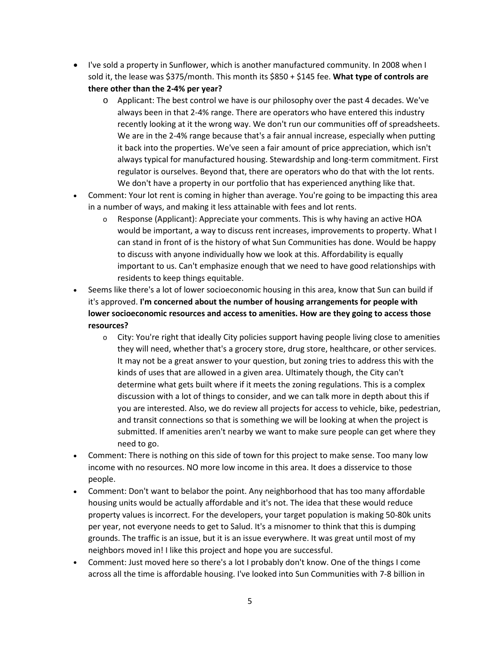- I've sold a property in Sunflower, which is another manufactured community. In 2008 when I sold it, the lease was \$375/month. This month its \$850 + \$145 fee. **What type of controls are there other than the 2-4% per year?**
	- $\circ$  Applicant: The best control we have is our philosophy over the past 4 decades. We've always been in that 2-4% range. There are operators who have entered this industry recently looking at it the wrong way. We don't run our communities off of spreadsheets. We are in the 2-4% range because that's a fair annual increase, especially when putting it back into the properties. We've seen a fair amount of price appreciation, which isn't always typical for manufactured housing. Stewardship and long-term commitment. First regulator is ourselves. Beyond that, there are operators who do that with the lot rents. We don't have a property in our portfolio that has experienced anything like that.
- Comment: Your lot rent is coming in higher than average. You're going to be impacting this area in a number of ways, and making it less attainable with fees and lot rents.
	- o Response (Applicant): Appreciate your comments. This is why having an active HOA would be important, a way to discuss rent increases, improvements to property. What I can stand in front of is the history of what Sun Communities has done. Would be happy to discuss with anyone individually how we look at this. Affordability is equally important to us. Can't emphasize enough that we need to have good relationships with residents to keep things equitable.
- Seems like there's a lot of lower socioeconomic housing in this area, know that Sun can build if it's approved. **I'm concerned about the number of housing arrangements for people with lower socioeconomic resources and access to amenities. How are they going to access those resources?**
	- o City: You're right that ideally City policies support having people living close to amenities they will need, whether that's a grocery store, drug store, healthcare, or other services. It may not be a great answer to your question, but zoning tries to address this with the kinds of uses that are allowed in a given area. Ultimately though, the City can't determine what gets built where if it meets the zoning regulations. This is a complex discussion with a lot of things to consider, and we can talk more in depth about this if you are interested. Also, we do review all projects for access to vehicle, bike, pedestrian, and transit connections so that is something we will be looking at when the project is submitted. If amenities aren't nearby we want to make sure people can get where they need to go.
- Comment: There is nothing on this side of town for this project to make sense. Too many low income with no resources. NO more low income in this area. It does a disservice to those people.
- Comment: Don't want to belabor the point. Any neighborhood that has too many affordable housing units would be actually affordable and it's not. The idea that these would reduce property values is incorrect. For the developers, your target population is making 50-80k units per year, not everyone needs to get to Salud. It's a misnomer to think that this is dumping grounds. The traffic is an issue, but it is an issue everywhere. It was great until most of my neighbors moved in! I like this project and hope you are successful.
- Comment: Just moved here so there's a lot I probably don't know. One of the things I come across all the time is affordable housing. I've looked into Sun Communities with 7-8 billion in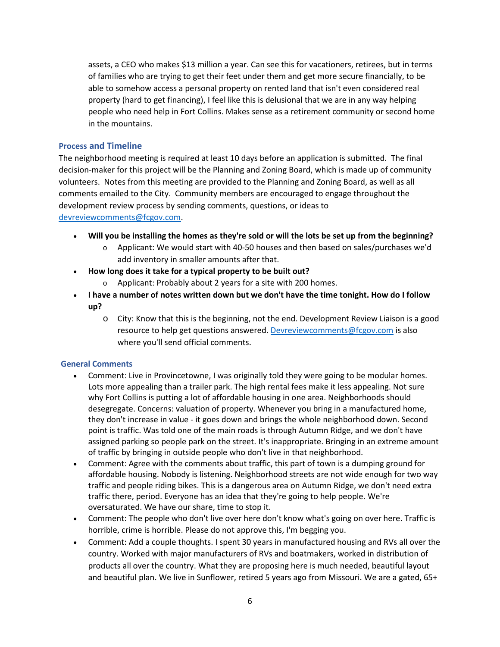assets, a CEO who makes \$13 million a year. Can see this for vacationers, retirees, but in terms of families who are trying to get their feet under them and get more secure financially, to be able to somehow access a personal property on rented land that isn't even considered real property (hard to get financing), I feel like this is delusional that we are in any way helping people who need help in Fort Collins. Makes sense as a retirement community or second home in the mountains.

#### **Process and Timeline**

The neighborhood meeting is required at least 10 days before an application is submitted. The final decision-maker for this project will be the Planning and Zoning Board, which is made up of community volunteers. Notes from this meeting are provided to the Planning and Zoning Board, as well as all comments emailed to the City. Community members are encouraged to engage throughout the development review process by sending comments, questions, or ideas to [devreviewcomments@fcgov.com.](mailto:devreviewcomments@fcgov.com)

- **Will you be installing the homes as they're sold or will the lots be set up from the beginning?**
	- $\circ$  Applicant: We would start with 40-50 houses and then based on sales/purchases we'd add inventory in smaller amounts after that.
- **How long does it take for a typical property to be built out?**
	- o Applicant: Probably about 2 years for a site with 200 homes.
- **I have a number of notes written down but we don't have the time tonight. How do I follow up?**
	- o City: Know that this is the beginning, not the end. Development Review Liaison is a good resource to help get questions answered[. Devreviewcomments@fcgov.com](mailto:Devreviewcomments@fcgov.com) is also where you'll send official comments.

## **General Comments**

- Comment: Live in Provincetowne, I was originally told they were going to be modular homes. Lots more appealing than a trailer park. The high rental fees make it less appealing. Not sure why Fort Collins is putting a lot of affordable housing in one area. Neighborhoods should desegregate. Concerns: valuation of property. Whenever you bring in a manufactured home, they don't increase in value - it goes down and brings the whole neighborhood down. Second point is traffic. Was told one of the main roads is through Autumn Ridge, and we don't have assigned parking so people park on the street. It's inappropriate. Bringing in an extreme amount of traffic by bringing in outside people who don't live in that neighborhood.
- Comment: Agree with the comments about traffic, this part of town is a dumping ground for affordable housing. Nobody is listening. Neighborhood streets are not wide enough for two way traffic and people riding bikes. This is a dangerous area on Autumn Ridge, we don't need extra traffic there, period. Everyone has an idea that they're going to help people. We're oversaturated. We have our share, time to stop it.
- Comment: The people who don't live over here don't know what's going on over here. Traffic is horrible, crime is horrible. Please do not approve this, I'm begging you.
- Comment: Add a couple thoughts. I spent 30 years in manufactured housing and RVs all over the country. Worked with major manufacturers of RVs and boatmakers, worked in distribution of products all over the country. What they are proposing here is much needed, beautiful layout and beautiful plan. We live in Sunflower, retired 5 years ago from Missouri. We are a gated, 65+